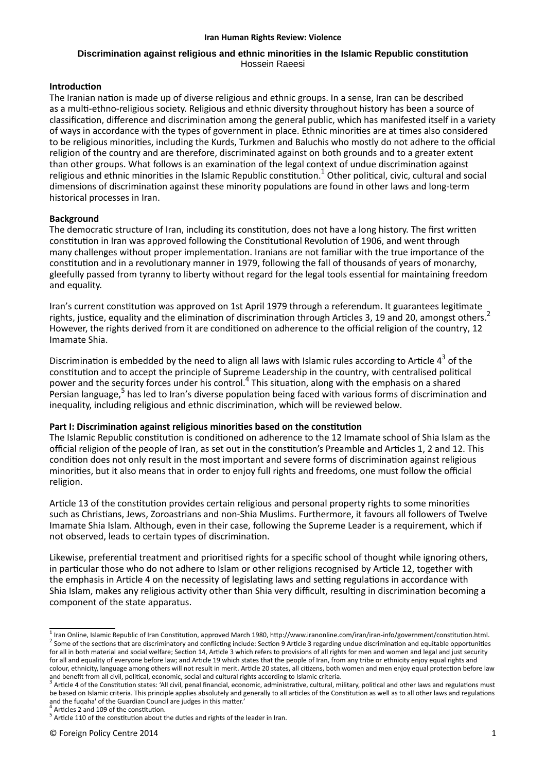#### **Iran Human Rights Review: Violence**

## **Discrimination against religious and ethnic minorities in the Islamic Republic constitution** Hossein Raeesi

# **Introduction**

The Iranian nation is made up of diverse religious and ethnic groups. In a sense, Iran can be described as a multi-ethno-religious society. Religious and ethnic diversity throughout history has been a source of classification, difference and discrimination among the general public, which has manifested itself in a variety of ways in accordance with the types of government in place. Ethnic minorities are at times also considered to be religious minorities, including the Kurds, Turkmen and Baluchis who mostly do not adhere to the official religion of the country and are therefore, discriminated against on both grounds and to a greater extent than other groups. What follows is an examination of the legal context of undue discrimination against religious and ethnic minorities in the Islamic Republic constitution.<sup>1</sup> Other political, civic, cultural and social dimensions of discrimination against these minority populations are found in other laws and long-term historical processes in Iran.

# **Background**

The democratic structure of Iran, including its constitution, does not have a long history. The first written constitution in Iran was approved following the Constitutional Revolution of 1906, and went through many challenges without proper implementation. Iranians are not familiar with the true importance of the constitution and in a revolutionary manner in 1979, following the fall of thousands of years of monarchy, gleefully passed from tyranny to liberty without regard for the legal tools essential for maintaining freedom and equality.

Iran's current constitution was approved on 1st April 1979 through a referendum. It guarantees legitimate rights, justice, equality and the elimination of discrimination through Articles 3, 19 and 20, amongst others.<sup>2</sup> However, the rights derived from it are conditioned on adherence to the official religion of the country, 12 Imamate Shia.

Discrimination is embedded by the need to align all laws with Islamic rules according to Article  $4^3$  of the constitution and to accept the principle of Supreme Leadership in the country, with centralised political power and the security forces under his control.<sup>4</sup> This situation, along with the emphasis on a shared .<br>Persian language,<sup>5</sup> has led to Iran's diverse population being faced with various forms of discrimination and inequality, including religious and ethnic discrimination, which will be reviewed below.

# **Part I: Discrimination against religious minorities based on the constitution**

The Islamic Republic constitution is conditioned on adherence to the 12 Imamate school of Shia Islam as the official religion of the people of Iran, as set out in the constitution's Preamble and Articles 1, 2 and 12. This condition does not only result in the most important and severe forms of discrimination against religious minorities, but it also means that in order to enjoy full rights and freedoms, one must follow the official religion.

Article 13 of the constitution provides certain religious and personal property rights to some minorities such as Christians, Jews, Zoroastrians and non-Shia Muslims. Furthermore, it favours all followers of Twelve Imamate Shia Islam. Although, even in their case, following the Supreme Leader is a requirement, which if not observed, leads to certain types of discrimination.

Likewise, preferential treatment and prioritised rights for a specific school of thought while ignoring others, in particular those who do not adhere to Islam or other religions recognised by Article 12, together with the emphasis in Article 4 on the necessity of legislating laws and setting regulations in accordance with Shia Islam, makes any religious activity other than Shia very difficult, resulting in discrimination becoming a component of the state apparatus.

<sup>&</sup>lt;sup>1</sup> Iran Online, Islamic Republic of Iran Constitution, approved March 1980, http://www.iranonline.com/iran/iran-info/government/constitution.html.  $^2$  Some of the sections that are discriminatory and conflicting include: Section 9 Article 3 regarding undue discrimination and equitable opportunities for all in both material and social welfare; Section 14, Article 3 which refers to provisions of all rights for men and women and legal and just security for all and equality of everyone before law; and Article 19 which states that the people of Iran, from any tribe or ethnicity enjoy equal rights and colour, ethnicity, language among others will not result in merit. Article 20 states, all citizens, both women and men enjoy equal protection before law and benefit from all civil, political, economic, social and cultural rights according to Islamic criteria.<br>3 Article 4 of the Constitution states: 'All sivil, popel financial, economic, administrative, cultural, m

Article 4 of the Constitution states: 'All civil, penal financial, economic, administrative, cultural, military, political and other laws and regulations must be based on Islamic criteria. This principle applies absolutely and generally to all articles of the Constitution as well as to all other laws and regulations and the fuqaha' of the Guardian Council are judges in this matter.'<br> $4$  Articles 2 and 109 of the constitution

Articles 2 and 109 of the constitution.

 $<sup>5</sup>$  Article 110 of the constitution about the duties and rights of the leader in Iran.</sup>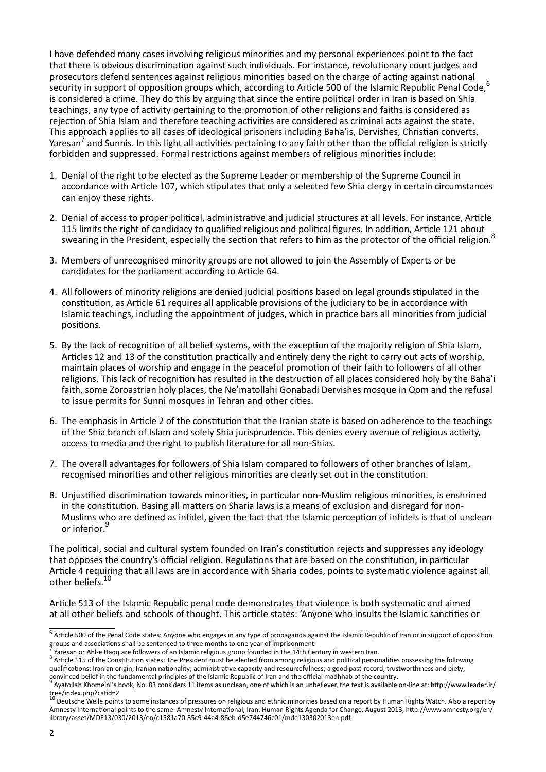I have defended many cases involving religious minorities and my personal experiences point to the fact that there is obvious discrimination against such individuals. For instance, revolutionary court judges and prosecutors defend sentences against religious minorities based on the charge of acting against national security in support of opposition groups which, according to Article 500 of the Islamic Republic Penal Code, <sup>6</sup> is considered a crime. They do this by arguing that since the entire political order in Iran is based on Shia teachings, any type of activity pertaining to the promotion of other religions and faiths is considered as rejection of Shia Islam and therefore teaching activities are considered as criminal acts against the state. This approach applies to all cases of ideological prisoners including Baha'is, Dervishes, Christian converts, Yaresan<sup>7</sup> and Sunnis. In this light all activities pertaining to any faith other than the official religion is strictly forbidden and suppressed. Formal restrictions against members of religious minorities include:

- 1. Denial of the right to be elected as the Supreme Leader or membership of the Supreme Council in accordance with Article 107, which stipulates that only a selected few Shia clergy in certain circumstances can enjoy these rights.
- 2. Denial of access to proper political, administrative and judicial structures at all levels. For instance, Article 115 limits the right of candidacy to qualified religious and political figures. In addition, Article 121 about swearing in the President, especially the section that refers to him as the protector of the official religion.<sup>8</sup>
- 3. Members of unrecognised minority groups are not allowed to join the Assembly of Experts or be candidates for the parliament according to Article 64.
- 4. All followers of minority religions are denied judicial positions based on legal grounds stipulated in the constitution, as Article 61 requires all applicable provisions of the judiciary to be in accordance with Islamic teachings, including the appointment of judges, which in practice bars all minorities from judicial positions.
- 5. By the lack of recognition of all belief systems, with the exception of the majority religion of Shia Islam, Articles 12 and 13 of the constitution practically and entirely deny the right to carry out acts of worship, maintain places of worship and engage in the peaceful promotion of their faith to followers of all other religions. This lack of recognition has resulted in the destruction of all places considered holy by the Baha'i faith, some Zoroastrian holy places, the Ne'matollahi Gonabadi Dervishes mosque in Qom and the refusal to issue permits for Sunni mosques in Tehran and other cities.
- 6. The emphasis in Article 2 of the constitution that the Iranian state is based on adherence to the teachings of the Shia branch of Islam and solely Shia jurisprudence. This denies every avenue of religious activity, access to media and the right to publish literature for all non-Shias.
- 7. The overall advantages for followers of Shia Islam compared to followers of other branches of Islam, recognised minorities and other religious minorities are clearly set out in the constitution.
- 8. Unjustified discrimination towards minorities, in particular non-Muslim religious minorities, is enshrined in the constitution. Basing all matters on Sharia laws is a means of exclusion and disregard for non-Muslims who are defined as infidel, given the fact that the Islamic perception of infidels is that of unclean or inferior. 9

The political, social and cultural system founded on Iran's constitution rejects and suppresses any ideology that opposes the country's official religion. Regulations that are based on the constitution, in particular Article 4 requiring that all laws are in accordance with Sharia codes, points to systematic violence against all other beliefs.<sup>10</sup>

Article 513 of the Islamic Republic penal code demonstrates that violence is both systematic and aimed at all other beliefs and schools of thought. This article states: 'Anyone who insults the Islamic sanctities or

<sup>&</sup>lt;sup>6</sup> Article 500 of the Penal Code states: Anyone who engages in any type of propaganda against the Islamic Republic of Iran or in support of opposition groups and associations shall be sentenced to three months to one year of imprisonment.<br>I Yarosan or Abl o Hang are followers of an Islamic religious group founded in the 14th Co

Yaresan or Ahl-e Haqq are followers of an Islamic religious group founded in the 14th Century in western Iran.

 $8$  Article 115 of the Constitution states: The President must be elected from among religious and political personalities possessing the following qualifications: Iranian origin; Iranian nationality; administrative capacity and resourcefulness; a good past-record; trustworthiness and piety;

convinced belief in the fundamental principles of the Islamic Republic of Iran and the official madhhab of the country.<br><sup>9</sup> Avatellah Khomeini's book, No. 83 considers 11 itoms as unclean, one of which is an unbeliever, th Ayatollah Khomeini's book, No. 83 considers 11 items as unclean, one of which is an unbeliever, the text is available on-line at: http://www.leader.ir/

tree/index.php?catid=2<br><sup>10</sup> Deutsche Welle points to some instances of pressures on religious and ethnic minorities based on a report by Human Rights Watch. Also a report by Amnesty International points to the same: Amnesty International, Iran: Human Rights Agenda for Change, August 2013, http://www.amnesty.org/en/ library/asset/MDE13/030/2013/en/c1581a70-85c9-44a4-86eb-d5e744746c01/mde130302013en.pdf.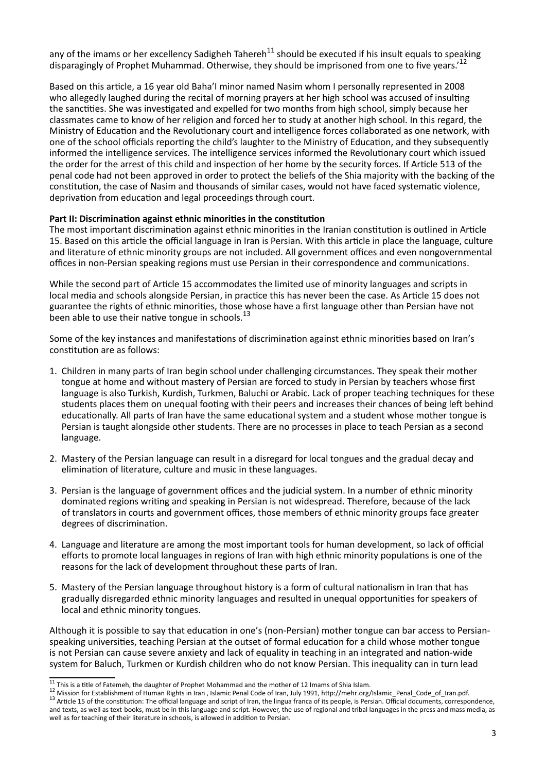any of the imams or her excellency Sadigheh Tahereh<sup>11</sup> should be executed if his insult equals to speaking disparagingly of Prophet Muhammad. Otherwise, they should be imprisoned from one to five years.<sup>12</sup>

Based on this article, a 16 year old Baha'l minor named Nasim whom I personally represented in 2008 who allegedly laughed during the recital of morning prayers at her high school was accused of insulting the sanctities. She was investigated and expelled for two months from high school, simply because her classmates came to know of her religion and forced her to study at another high school. In this regard, the Ministry of Education and the Revolutionary court and intelligence forces collaborated as one network, with one of the school officials reporting the child's laughter to the Ministry of Education, and they subsequently informed the intelligence services. The intelligence services informed the Revolutionary court which issued the order for the arrest of this child and inspection of her home by the security forces. If Article 513 of the penal code had not been approved in order to protect the beliefs of the Shia majority with the backing of the constitution, the case of Nasim and thousands of similar cases, would not have faced systematic violence, deprivation from education and legal proceedings through court.

## **Part II: Discrimination against ethnic minorities in the constitution**

The most important discrimination against ethnic minorities in the Iranian constitution is outlined in Article 15. Based on this article the official language in Iran is Persian. With this article in place the language, culture and literature of ethnic minority groups are not included. All government offices and even nongovernmental offices in non-Persian speaking regions must use Persian in their correspondence and communications.

While the second part of Article 15 accommodates the limited use of minority languages and scripts in local media and schools alongside Persian, in practice this has never been the case. As Article 15 does not guarantee the rights of ethnic minorities, those whose have a first language other than Persian have not been able to use their native tongue in schools.<sup>13</sup>

Some of the key instances and manifestations of discrimination against ethnic minorities based on Iran's constitution are as follows:

- 1. Children in many parts of Iran begin school under challenging circumstances. They speak their mother tongue at home and without mastery of Persian are forced to study in Persian by teachers whose first language is also Turkish, Kurdish, Turkmen, Baluchi or Arabic. Lack of proper teaching techniques for these students places them on unequal footing with their peers and increases their chances of being left behind educationally. All parts of Iran have the same educational system and a student whose mother tongue is Persian is taught alongside other students. There are no processes in place to teach Persian as a second language.
- 2. Mastery of the Persian language can result in a disregard for local tongues and the gradual decay and elimination of literature, culture and music in these languages.
- 3. Persian is the language of government offices and the judicial system. In a number of ethnic minority dominated regions writing and speaking in Persian is not widespread. Therefore, because of the lack of translators in courts and government offices, those members of ethnic minority groups face greater degrees of discrimination.
- 4. Language and literature are among the most important tools for human development, so lack of official efforts to promote local languages in regions of Iran with high ethnic minority populations is one of the reasons for the lack of development throughout these parts of Iran.
- 5. Mastery of the Persian language throughout history is a form of cultural nationalism in Iran that has gradually disregarded ethnic minority languages and resulted in unequal opportunities for speakers of local and ethnic minority tongues.

Although it is possible to say that education in one's (non-Persian) mother tongue can bar access to Persianspeaking universities, teaching Persian at the outset of formal education for a child whose mother tongue is not Persian can cause severe anxiety and lack of equality in teaching in an integrated and nation-wide system for Baluch, Turkmen or Kurdish children who do not know Persian. This inequality can in turn lead

 $11$  This is a title of Fatemeh, the daughter of Prophet Mohammad and the mother of 12 Imams of Shia Islam.

<sup>&</sup>lt;sup>12</sup> Mission for Establishment of Human Rights in Iran, Islamic Penal Code of Iran, July 1991, http://mehr.org/Islamic\_Penal\_Code\_of\_Iran.pdf.

<sup>&</sup>lt;sup>13</sup> Article 15 of the constitution: The official language and script of Iran, the lingua franca of its people, is Persian. Official documents, correspondence, and texts, as well as text-books, must be in this language and script. However, the use of regional and tribal languages in the press and mass media, as well as for teaching of their literature in schools, is allowed in addition to Persian.